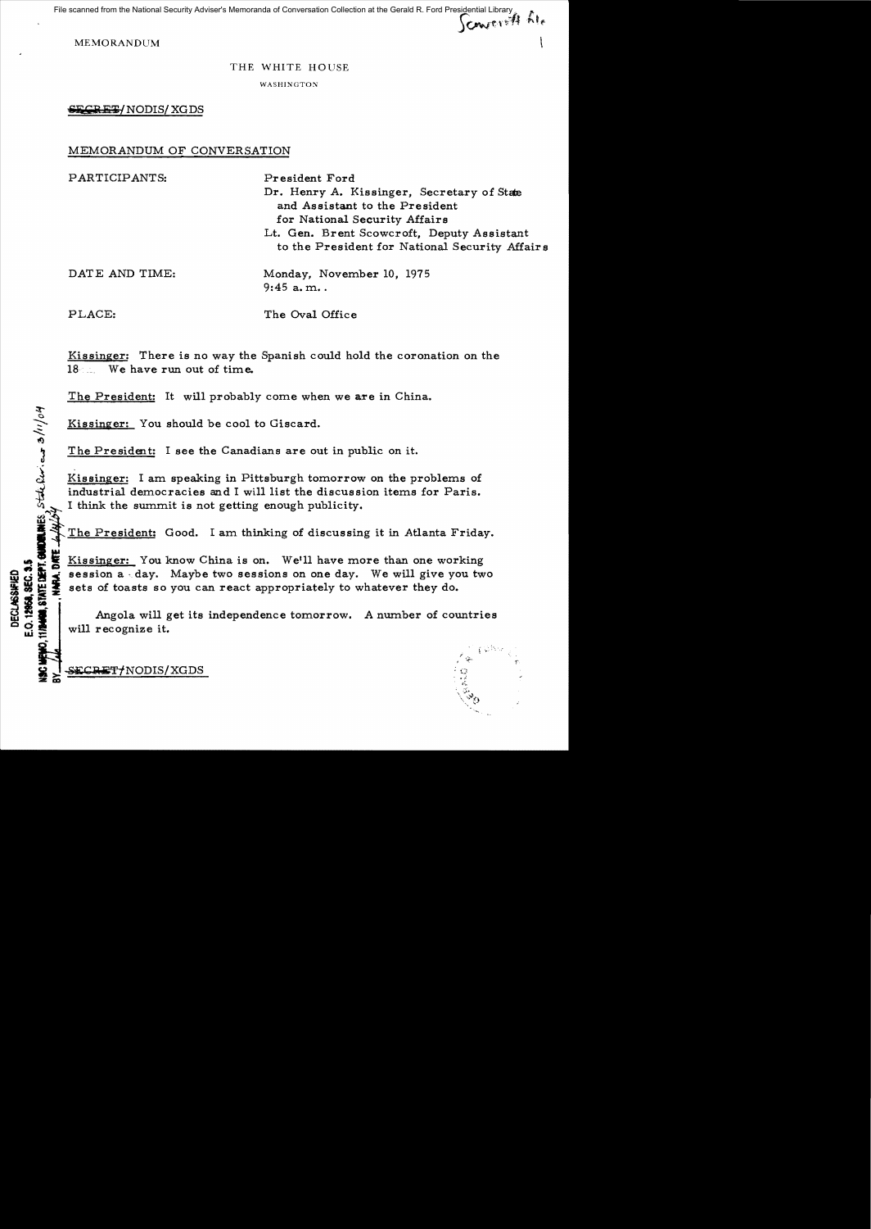File scanned from the National Security Adviser's Memoranda of Conversation Collection at the Gerald R. Ford Presidential Library<br>CAMPCARET

MEMORANDUM \

 $\mathcal{L}^o$ 

 $\sim$ 

~

## THE WHITE HOUSE

WASHINGTON

<del>SECRET</del>/ NODIS/ XG DS

## MEMORANDUM OF CONVERSATION

| PARTICIPANTS:  | President Ford<br>Dr. Henry A. Kissinger, Secretary of State<br>and Assistant to the President<br>for National Security Affairs<br>Lt. Gen. Brent Scowcroft, Deputy Assistant<br>to the President for National Security Affairs |
|----------------|---------------------------------------------------------------------------------------------------------------------------------------------------------------------------------------------------------------------------------|
| DATE AND TIME: | Monday, November 10, 1975<br>$9:45$ a.m                                                                                                                                                                                         |
| PLACE:         | The Oval Office                                                                                                                                                                                                                 |

Kissinger: There is no way the Spanish could hold the coronation on the 18 We have run out of time.

The President: It will probably come when we are in China.

Kissinger: You should be cool to Giscard.

The President: I see the Canadians are out in public on it.

Kissinger: I am speaking in Pittsburgh tomorrow on the problems of industrial democracies and I will list the discussion items for Paris. I think the summit is not getting enough publicity.<br>The President: Good. I am thinki

II Kissinger: You know China is on. We'll have more than one working<br>
Solution a day. Maybe two sessions on one day. We will give you two<br>
Solution as a day. Maybe two sessions on one day. We will give you two<br>
Solution an Gradiery session a day. Maybe two sessions on one day. We will give you two interests and the sets of toasts so you can react appropriately to whatever they do.<br>
The sets of toasts so you can react appropriately to whateve

Angola will get its independence tomorrow. A number of countries will recognize it.

**ECRET/NODIS/XGDS**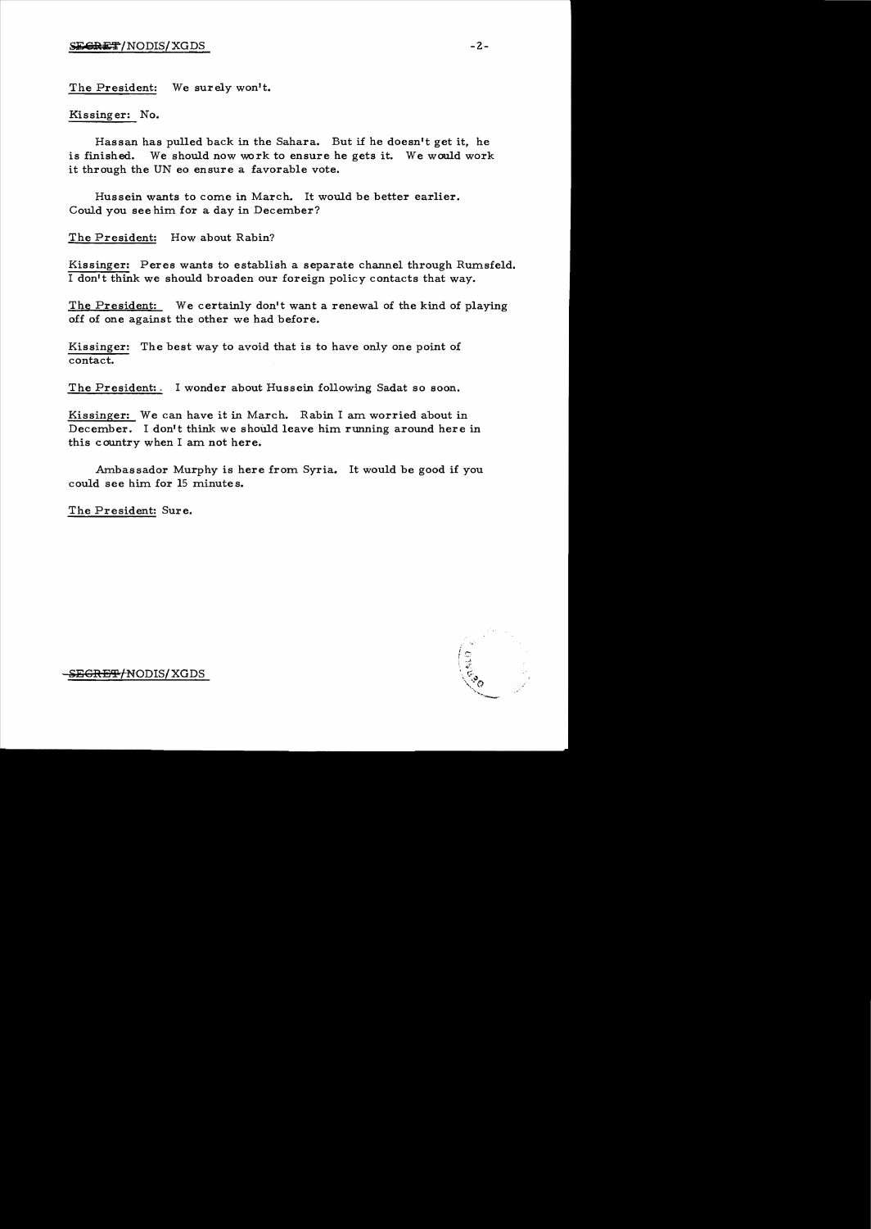The President: We surely won't.

Kissinger: No.

Hassan has pulled back in the Sahara. But if he doesn't get it, he is finished. We should now work to ensure he gets it. We would work it through the UN eo ensure a favorable vote.

Hussein wants to come in March. It would be better earlier. Could you seehim for a day in December?

The President: How about Rabin?

Kissinger: Peres wants to establish a separate channel through Rumsfeld. I don't think we should broaden our foreign policy contacts that way.

The President: We certainly don't want a renewal of the kind of playing off of one against the other we had before.

Kissinger: The best way to avoid that is to have only one point of contact.

The President:. I wonder about Hussein following Sadat so soon.

Kissinger: We can have it in March. Rabin I am worried about in December. I don't think we should leave him running around here in this country when I am not here.

Ambassador Murphy is here from Syria. It would be good if you could see him for 15 minute s.

The President: Sure.

-<del>SEGRET/</del>NODIS/XGDS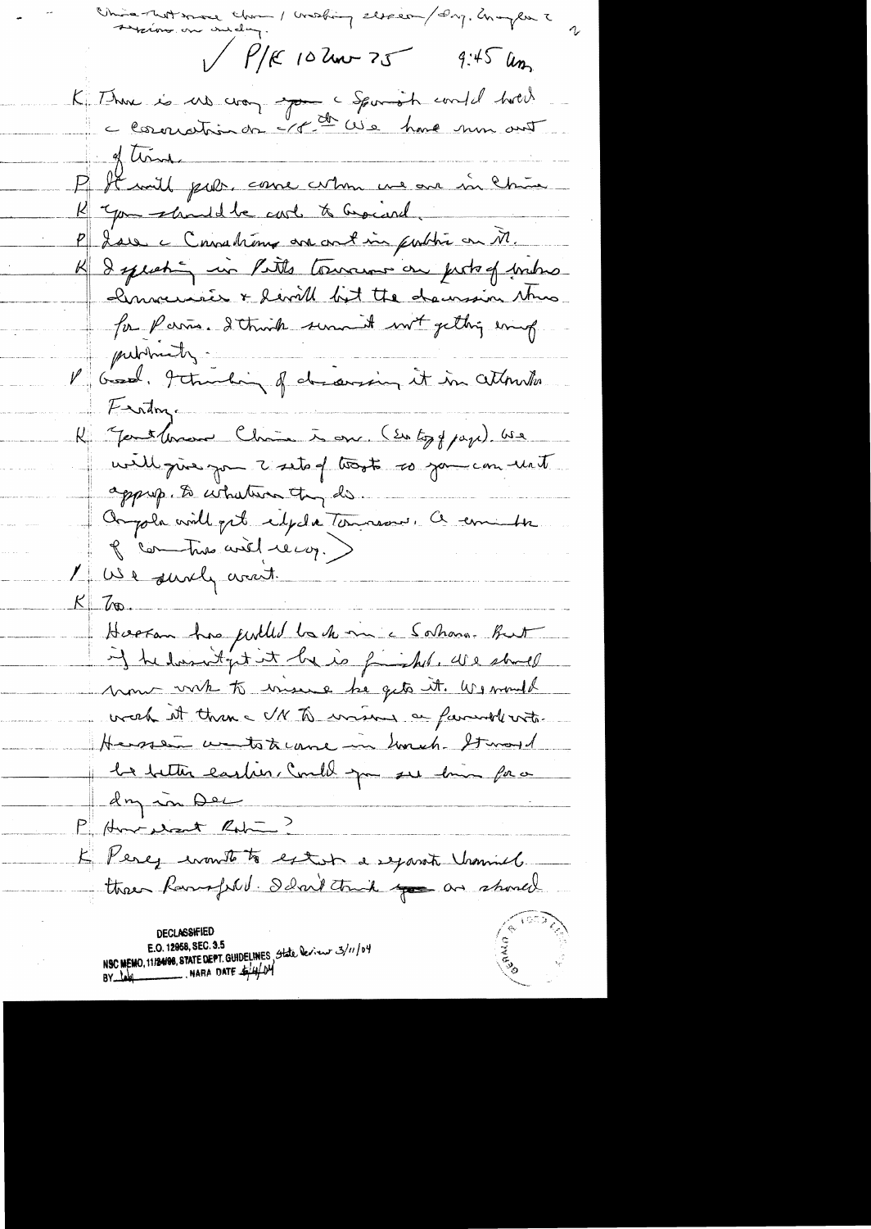crosbing elseen/dag. England systems, one indeling.  $\frac{1}{\sqrt{1+\frac{1}{\sqrt{1-\frac{1}{\sqrt{1-\frac{1}{\sqrt{1-\frac{1}{\sqrt{1-\frac{1}{\sqrt{1-\frac{1}{\sqrt{1-\frac{1}{\sqrt{1-\frac{1}{\sqrt{1-\frac{1}{1-\frac{1}{\sqrt{1-\frac{1}{1-\frac{1}{\sqrt{1-\frac{1}{1-\frac{1}{1-\frac{1}{1-\frac{1}{1-\frac{1}{1-\frac{1}{1-\frac{1}{1-\frac{1}{1-\frac{1}{1-\frac{1}{1-\frac{1}{1-\frac{1}{1-\frac{1}{1-\frac{1}{1-\frac{1}{1-\frac{1}{1-\frac{1}{1-\frac{1}{1-\$ K Thur is us von pour spanish could trout  $\frac{d}{dx}$  then P It will pour, come comme une aux sin chine you should be cost to Gracial.  $\frac{\mathcal{K}_\parallel}{\mathcal{K}_\parallel}$ Lors a Consultant are an futtie on M.  $\frac{p}{\pm}$ I speaking in Putts tournous on justof indus <u> Immersier + first til the decussion strus</u> for Paris. I trunk surmit wit getting ering. publicity V Good. Itailing of decorsing it in attendes Firthy K Janthouse China is one. (Entry frage) we will give you t'estof toost so jou con unit approp. to whatever they do. Compola viall pet elpeta Termanos. Ce emmetre P commune aviel recog.) 1 US a surely creat.  $K\mathcal{L}_{\mathcal{D}}$ Hoeran has juilled to him a Salana. But If he has atget it be is finished, we should mour with to wisse he gets it. We mould week it than NN to writing a farmed with. Herstein wentstelland in howch. Stward le better earlier Could you see time for a 1 dry in Dec P. How Next Robin El Perez monto to estern esparate Uramiel **DECLASSIFIED** NSC MEMO, 11/24/98, STATE DEPT. GUIDELINES, State Deview 3/11/04 E.O. 12958, SEC. 3.5 BY  $\frac{1}{4}$  MARA DATE  $\frac{1}{4}$  W